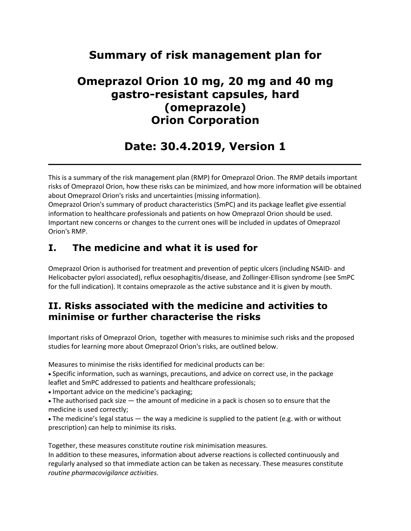# **Summary of risk management plan for**

# **Omeprazol Orion 10 mg, 20 mg and 40 mg gastro-resistant capsules, hard (omeprazole) Orion Corporation**

# **Date: 30.4.2019, Version 1**

**\_\_\_\_\_\_\_\_\_\_\_\_\_\_\_\_\_\_\_\_\_\_\_\_\_\_\_\_\_\_\_\_\_\_\_\_\_\_\_\_\_**

This is a summary of the risk management plan (RMP) for Omeprazol Orion. The RMP details important risks of Omeprazol Orion, how these risks can be minimized, and how more information will be obtained about Omeprazol Orion's risks and uncertainties (missing information).

Omeprazol Orion's summary of product characteristics (SmPC) and its package leaflet give essential information to healthcare professionals and patients on how Omeprazol Orion should be used. Important new concerns or changes to the current ones will be included in updates of Omeprazol Orion's RMP.

## **I. The medicine and what it is used for**

Omeprazol Orion is authorised for treatment and prevention of peptic ulcers (including NSAID- and Helicobacter pylori associated), reflux oesophagitis/disease, and Zollinger-Ellison syndrome (see SmPC for the full indication). It contains omeprazole as the active substance and it is given by mouth.

### **II. Risks associated with the medicine and activities to minimise or further characterise the risks**

Important risks of Omeprazol Orion, together with measures to minimise such risks and the proposed studies for learning more about Omeprazol Orion's risks, are outlined below.

Measures to minimise the risks identified for medicinal products can be:

 Specific information, such as warnings, precautions, and advice on correct use, in the package leaflet and SmPC addressed to patients and healthcare professionals;

Important advice on the medicine's packaging;

 The authorised pack size — the amount of medicine in a pack is chosen so to ensure that the medicine is used correctly;

 The medicine's legal status — the way a medicine is supplied to the patient (e.g. with or without prescription) can help to minimise its risks.

Together, these measures constitute routine risk minimisation measures.

In addition to these measures, information about adverse reactions is collected continuously and regularly analysed so that immediate action can be taken as necessary. These measures constitute *routine pharmacovigilance activities.*